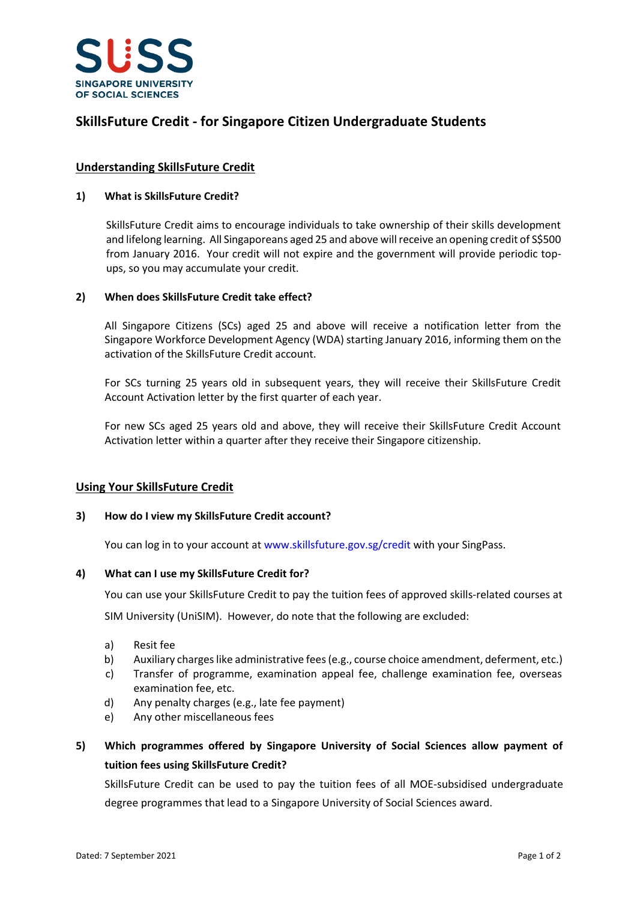

# **SkillsFuture Credit - for Singapore Citizen Undergraduate Students**

## **Understanding SkillsFuture Credit**

## **1) What is SkillsFuture Credit?**

SkillsFuture Credit aims to encourage individuals to take ownership of their skills development and lifelong learning. All Singaporeans aged 25 and above will receive an opening credit of S\$500 from January 2016. Your credit will not expire and the government will provide periodic topups, so you may accumulate your credit.

### **2) When does SkillsFuture Credit take effect?**

All Singapore Citizens (SCs) aged 25 and above will receive a notification letter from the Singapore Workforce Development Agency (WDA) starting January 2016, informing them on the activation of the SkillsFuture Credit account.

For SCs turning 25 years old in subsequent years, they will receive their SkillsFuture Credit Account Activation letter by the first quarter of each year.

For new SCs aged 25 years old and above, they will receive their SkillsFuture Credit Account Activation letter within a quarter after they receive their Singapore citizenship.

### **Using Your SkillsFuture Credit**

#### **3) How do I view my SkillsFuture Credit account?**

You can log in to your account at <www.skillsfuture.gov.sg/credit> with your SingPass.

#### **4) What can I use my SkillsFuture Credit for?**

You can use your SkillsFuture Credit to pay the tuition fees of approved skills-related courses at

SIM University (UniSIM). However, do note that the following are excluded:

- a) Resit fee
- b) Auxiliary charges like administrative fees (e.g., course choice amendment, deferment, etc.)
- c) Transfer of programme, examination appeal fee, challenge examination fee, overseas examination fee, etc.
- d) Any penalty charges (e.g., late fee payment)
- e) Any other miscellaneous fees

# **5) Which programmes offered by Singapore University of Social Sciences allow payment of tuition fees using SkillsFuture Credit?**

SkillsFuture Credit can be used to pay the tuition fees of all MOE-subsidised undergraduate degree programmes that lead to a Singapore University of Social Sciences award.